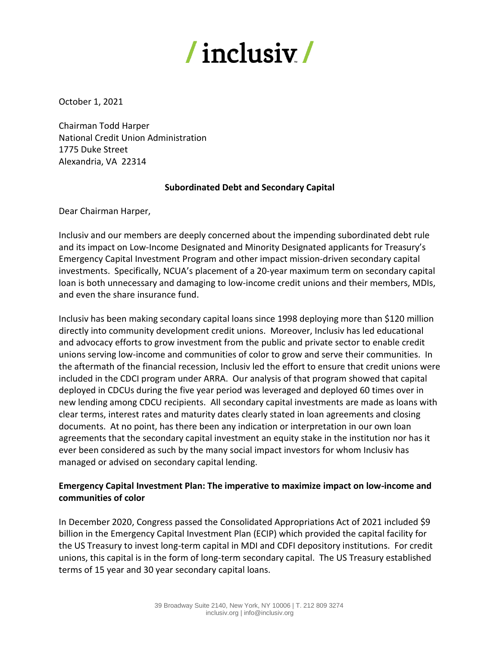

October 1, 2021

Chairman Todd Harper National Credit Union Administration 1775 Duke Street Alexandria, VA 22314

## **Subordinated Debt and Secondary Capital**

Dear Chairman Harper,

Inclusiv and our members are deeply concerned about the impending subordinated debt rule and its impact on Low-Income Designated and Minority Designated applicants for Treasury's Emergency Capital Investment Program and other impact mission-driven secondary capital investments. Specifically, NCUA's placement of a 20-year maximum term on secondary capital loan is both unnecessary and damaging to low-income credit unions and their members, MDIs, and even the share insurance fund.

Inclusiv has been making secondary capital loans since 1998 deploying more than \$120 million directly into community development credit unions. Moreover, Inclusiv has led educational and advocacy efforts to grow investment from the public and private sector to enable credit unions serving low-income and communities of color to grow and serve their communities. In the aftermath of the financial recession, Inclusiv led the effort to ensure that credit unions were included in the CDCI program under ARRA. Our analysis of that program showed that capital deployed in CDCUs during the five year period was leveraged and deployed 60 times over in new lending among CDCU recipients. All secondary capital investments are made as loans with clear terms, interest rates and maturity dates clearly stated in loan agreements and closing documents. At no point, has there been any indication or interpretation in our own loan agreements that the secondary capital investment an equity stake in the institution nor has it ever been considered as such by the many social impact investors for whom Inclusiv has managed or advised on secondary capital lending.

## **Emergency Capital Investment Plan: The imperative to maximize impact on low-income and communities of color**

In December 2020, Congress passed the Consolidated Appropriations Act of 2021 included \$9 billion in the Emergency Capital Investment Plan (ECIP) which provided the capital facility for the US Treasury to invest long-term capital in MDI and CDFI depository institutions. For credit unions, this capital is in the form of long-term secondary capital. The US Treasury established terms of 15 year and 30 year secondary capital loans.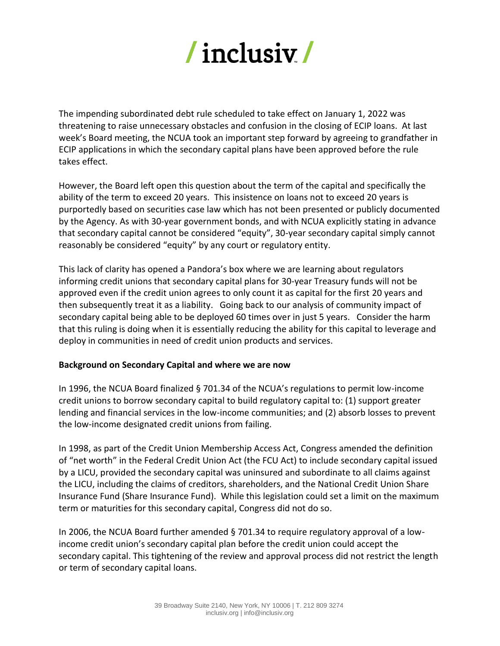

The impending subordinated debt rule scheduled to take effect on January 1, 2022 was threatening to raise unnecessary obstacles and confusion in the closing of ECIP loans. At last week's Board meeting, the NCUA took an important step forward by agreeing to grandfather in ECIP applications in which the secondary capital plans have been approved before the rule takes effect.

However, the Board left open this question about the term of the capital and specifically the ability of the term to exceed 20 years. This insistence on loans not to exceed 20 years is purportedly based on securities case law which has not been presented or publicly documented by the Agency. As with 30-year government bonds, and with NCUA explicitly stating in advance that secondary capital cannot be considered "equity", 30-year secondary capital simply cannot reasonably be considered "equity" by any court or regulatory entity.

This lack of clarity has opened a Pandora's box where we are learning about regulators informing credit unions that secondary capital plans for 30-year Treasury funds will not be approved even if the credit union agrees to only count it as capital for the first 20 years and then subsequently treat it as a liability. Going back to our analysis of community impact of secondary capital being able to be deployed 60 times over in just 5 years. Consider the harm that this ruling is doing when it is essentially reducing the ability for this capital to leverage and deploy in communities in need of credit union products and services.

## **Background on Secondary Capital and where we are now**

In 1996, the NCUA Board finalized § 701.34 of the NCUA's regulations to permit low-income credit unions to borrow secondary capital to build regulatory capital to: (1) support greater lending and financial services in the low-income communities; and (2) absorb losses to prevent the low-income designated credit unions from failing.

In 1998, as part of the Credit Union Membership Access Act, Congress amended the definition of "net worth" in the Federal Credit Union Act (the FCU Act) to include secondary capital issued by a LICU, provided the secondary capital was uninsured and subordinate to all claims against the LICU, including the claims of creditors, shareholders, and the National Credit Union Share Insurance Fund (Share Insurance Fund). While this legislation could set a limit on the maximum term or maturities for this secondary capital, Congress did not do so.

In 2006, the NCUA Board further amended § 701.34 to require regulatory approval of a lowincome credit union's secondary capital plan before the credit union could accept the secondary capital. This tightening of the review and approval process did not restrict the length or term of secondary capital loans.